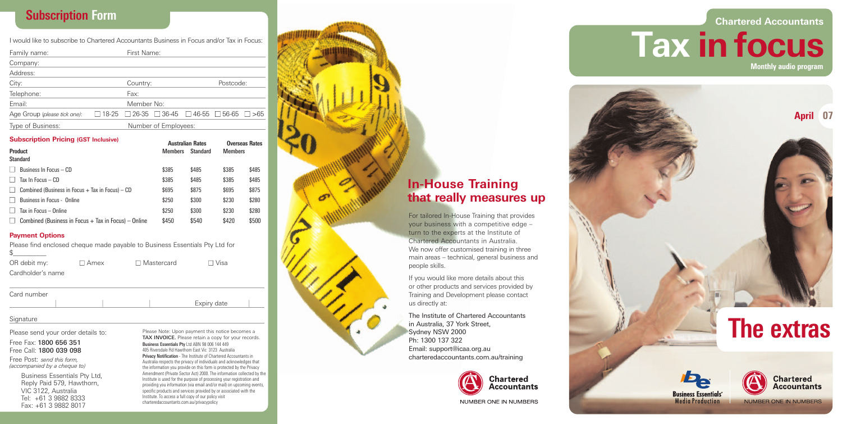# **Subscription Form**

I would like to subscribe to Chartered Accountants Business in Focus and/or Tax in Focus:

| Family name:                 |                      | First Name:                                                                 |  |  |  |  |
|------------------------------|----------------------|-----------------------------------------------------------------------------|--|--|--|--|
| Company:                     |                      |                                                                             |  |  |  |  |
| Address:                     |                      |                                                                             |  |  |  |  |
| City:                        |                      | Postcode:<br>Country:                                                       |  |  |  |  |
| Telephone:                   |                      | Fax:                                                                        |  |  |  |  |
| Email:                       |                      | Member No:                                                                  |  |  |  |  |
| Age Group (please tick one): |                      | $\Box$ 18-25 $\Box$ 26-35 $\Box$ 36-45 $\Box$ 46-55 $\Box$ 56-65 $\Box$ >65 |  |  |  |  |
| Type of Business:            | Number of Employees: |                                                                             |  |  |  |  |

#### **Subscription Pricing (GST Inclusive)**

| Australian Rates |                 | Uverseas Kates |       |
|------------------|-----------------|----------------|-------|
| <b>Members</b>   | <b>Standard</b> | <b>Members</b> |       |
|                  |                 |                |       |
| \$385            | \$485           | \$385          | \$485 |
| \$385            | \$485           | \$385          | \$485 |
| \$695            | \$875           | \$695          | \$875 |
| \$250            | \$300           | \$230          | \$280 |
| \$250            | \$300           | \$230          | \$280 |
| \$450            | \$540           | \$420          | \$500 |
|                  |                 |                |       |

### **Payment Options**

Please find enclosed cheque made payable to Business Essentials Pty Ltd for \$\_\_\_\_\_\_\_\_\_\_

| OR debit my:      | $\Box$ Amex | $\Box$ Mastercard | ⊟ Visa |
|-------------------|-------------|-------------------|--------|
| Cardholder's name |             |                   |        |

| Card number |  |             |
|-------------|--|-------------|
|             |  | Expiry date |

#### Signature

Please send your order details to:

#### Free Fax: 1800 656 351 Free Call: 1800 039 098

Free Post: *send this form, (accompanied by a cheque to)*

> Business Essentials Pty Ltd, Reply Paid 579, Hawthorn, VIC 3122, Australia Tel: +61 3 9882 8333 Fax: +61 3 9882 8017

Please Note: Upon payment this notice becomes a TAX INVOICE. Please retain a copy for your records. *Business Essentials Pty* Ltd ABN 98 006 144 449 405 Riversdale Rd Hawthorn East Vic 3123 Australia **Privacy Notification** - The Institute of Chartered Accountants in Australia respects the privacy of individuals and acknowledges that the information you provide on this form is protected by the Privacy Amendment (Private Sector Act) 2000. The information collected by the Institute is used for the purpose of processing your registration and providing you information (via email and/or mail) on upcoming events, specific products and services provided by or associated with the Institute. To access a full copy of our policy visit charteredaccountants.com.au/privacypolicy

# **In-House Training that really measures up**

For tailored In-House Training that provides your business with a competitive edge – turn to the experts at the Institute of Chartered Accountants in Australia. We now offer customised training in three main areas – technical, general business and people skills.

If you would like more details about this or other products and services provided by Training and Development please contact us directly at :

The Institute of Chartered Accountants in Australia, 37 York Street, Sydney NSW 2000 Ph: 1300 137 322 Email: support@icaa.org.au charteredaccountants.com.au/training



# **Chartered Accountants**

**Tax in focus Monthly audio program**